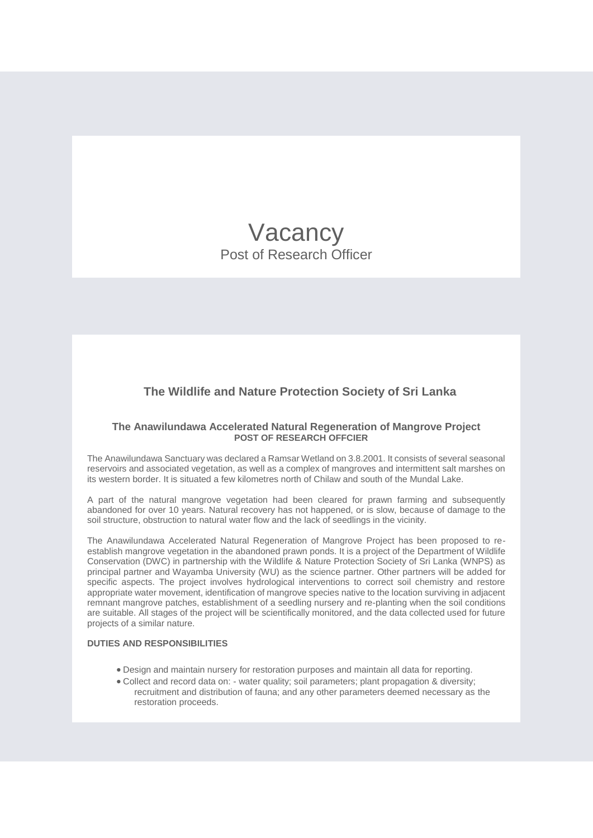# Vacancy Post of Research Officer

# **The Wildlife and Nature Protection Society of Sri Lanka**

## **The Anawilundawa Accelerated Natural Regeneration of Mangrove Project POST OF RESEARCH OFFCIER**

The Anawilundawa Sanctuary was declared a Ramsar Wetland on 3.8.2001. It consists of several seasonal reservoirs and associated vegetation, as well as a complex of mangroves and intermittent salt marshes on its western border. It is situated a few kilometres north of Chilaw and south of the Mundal Lake.

A part of the natural mangrove vegetation had been cleared for prawn farming and subsequently abandoned for over 10 years. Natural recovery has not happened, or is slow, because of damage to the soil structure, obstruction to natural water flow and the lack of seedlings in the vicinity.

The Anawilundawa Accelerated Natural Regeneration of Mangrove Project has been proposed to reestablish mangrove vegetation in the abandoned prawn ponds. It is a project of the Department of Wildlife Conservation (DWC) in partnership with the Wildlife & Nature Protection Society of Sri Lanka (WNPS) as principal partner and Wayamba University (WU) as the science partner. Other partners will be added for specific aspects. The project involves hydrological interventions to correct soil chemistry and restore appropriate water movement, identification of mangrove species native to the location surviving in adjacent remnant mangrove patches, establishment of a seedling nursery and re-planting when the soil conditions are suitable. All stages of the project will be scientifically monitored, and the data collected used for future projects of a similar nature.

## **DUTIES AND RESPONSIBILITIES**

- Design and maintain nursery for restoration purposes and maintain all data for reporting.
- Collect and record data on: water quality; soil parameters; plant propagation & diversity; recruitment and distribution of fauna; and any other parameters deemed necessary as the restoration proceeds.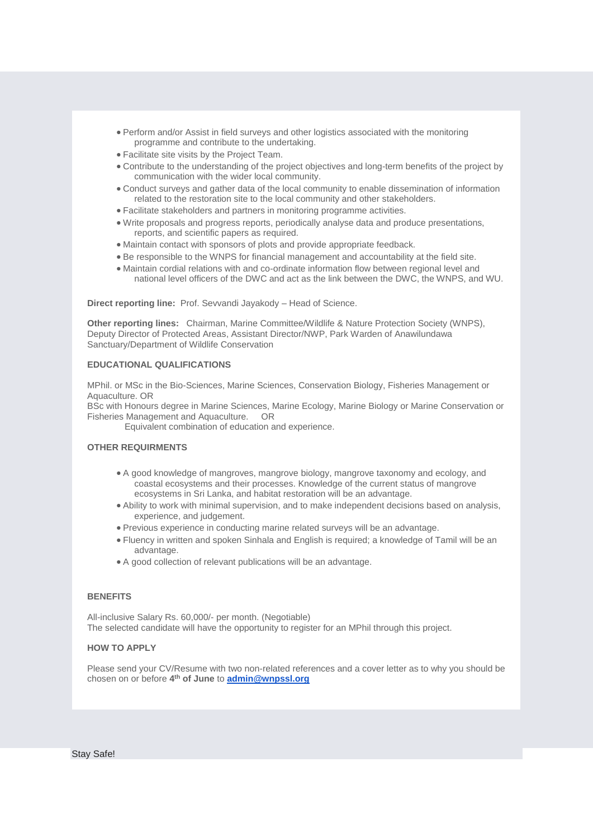- Perform and/or Assist in field surveys and other logistics associated with the monitoring programme and contribute to the undertaking.
- Facilitate site visits by the Project Team.
- Contribute to the understanding of the project objectives and long-term benefits of the project by communication with the wider local community.
- Conduct surveys and gather data of the local community to enable dissemination of information related to the restoration site to the local community and other stakeholders.
- Facilitate stakeholders and partners in monitoring programme activities.
- Write proposals and progress reports, periodically analyse data and produce presentations, reports, and scientific papers as required.
- Maintain contact with sponsors of plots and provide appropriate feedback.
- Be responsible to the WNPS for financial management and accountability at the field site.
- Maintain cordial relations with and co-ordinate information flow between regional level and national level officers of the DWC and act as the link between the DWC, the WNPS, and WU.

**Direct reporting line:** Prof. Sevvandi Jayakody – Head of Science.

**Other reporting lines:** Chairman, Marine Committee/Wildlife & Nature Protection Society (WNPS), Deputy Director of Protected Areas, Assistant Director/NWP, Park Warden of Anawilundawa Sanctuary/Department of Wildlife Conservation

### **EDUCATIONAL QUALIFICATIONS**

MPhil. or MSc in the Bio-Sciences, Marine Sciences, Conservation Biology, Fisheries Management or Aquaculture. OR

BSc with Honours degree in Marine Sciences, Marine Ecology, Marine Biology or Marine Conservation or Fisheries Management and Aquaculture. OR

Equivalent combination of education and experience.

#### **OTHER REQUIRMENTS**

- A good knowledge of mangroves, mangrove biology, mangrove taxonomy and ecology, and coastal ecosystems and their processes. Knowledge of the current status of mangrove ecosystems in Sri Lanka, and habitat restoration will be an advantage.
- Ability to work with minimal supervision, and to make independent decisions based on analysis, experience, and judgement.
- Previous experience in conducting marine related surveys will be an advantage.
- Fluency in written and spoken Sinhala and English is required; a knowledge of Tamil will be an advantage.
- A good collection of relevant publications will be an advantage.

## **BENEFITS**

All-inclusive Salary Rs. 60,000/- per month. (Negotiable) The selected candidate will have the opportunity to register for an MPhil through this project.

#### **HOW TO APPLY**

Please send your CV/Resume with two non-related references and a cover letter as to why you should be chosen on or before **4 th of June** to **[admin@wnpssl.org](mailto:admin@wnpssl.org)**